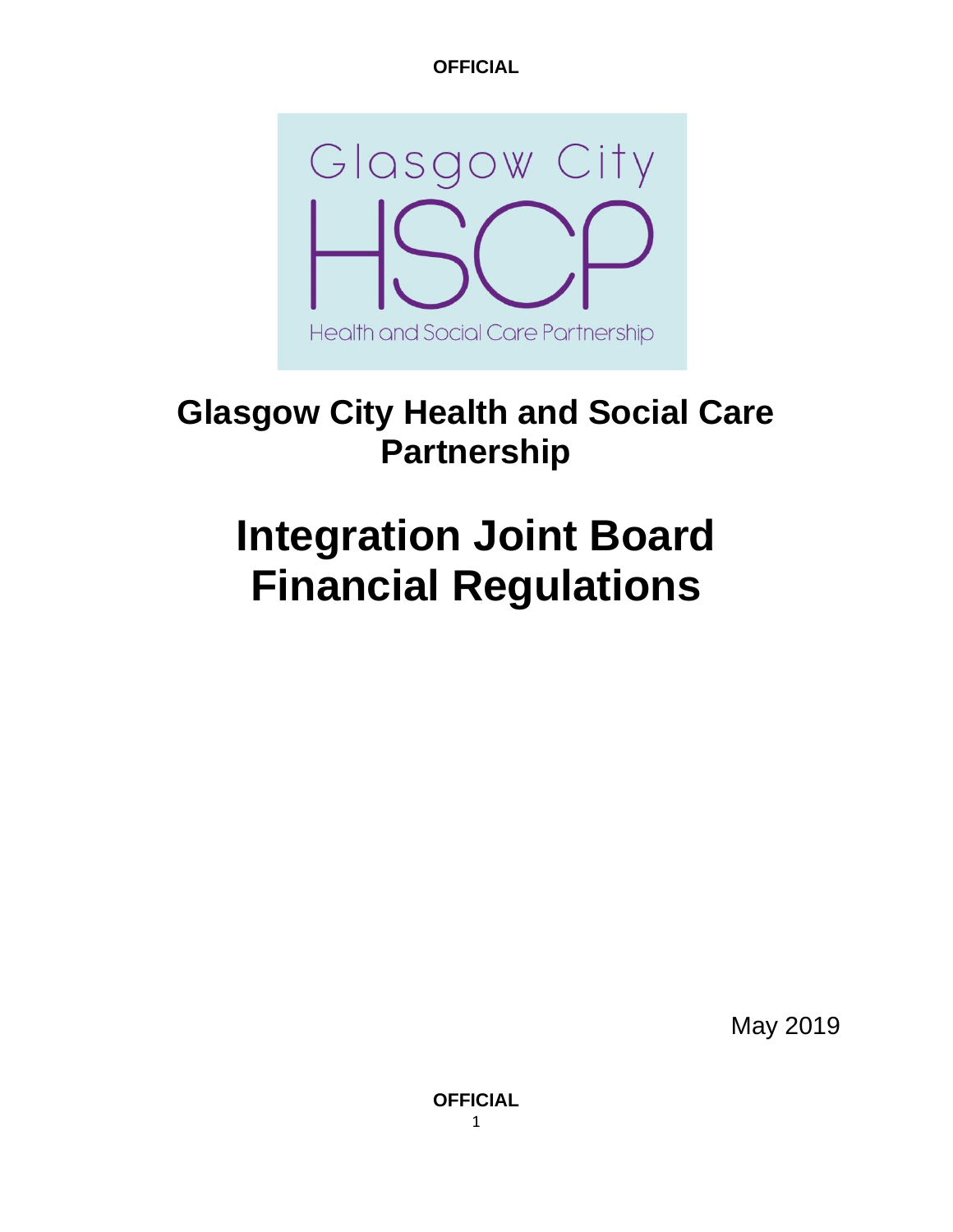

# **Glasgow City Health and Social Care Partnership**

# **Integration Joint Board Financial Regulations**

May 2019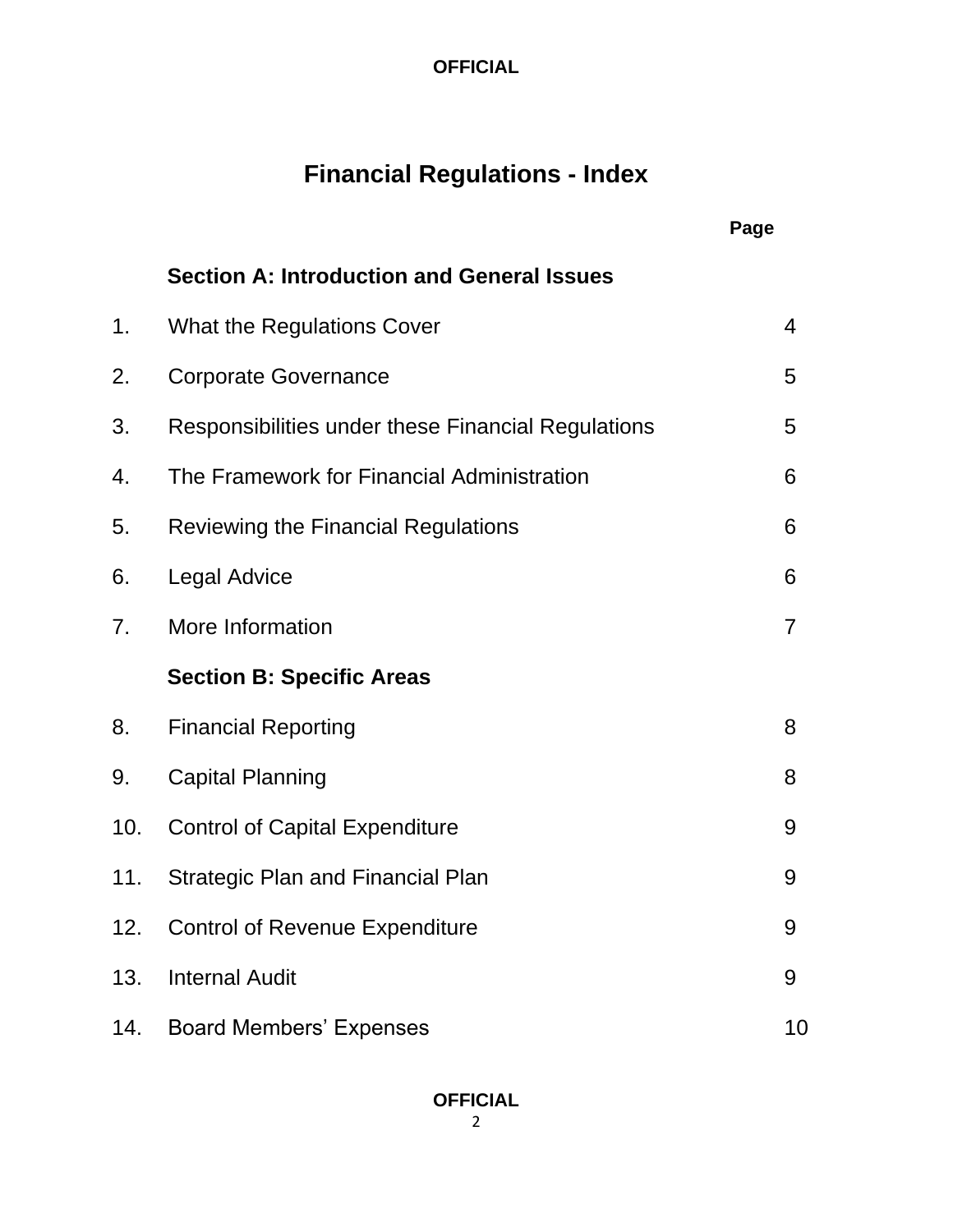# **Financial Regulations - Index**

|     |                                                    | Page           |
|-----|----------------------------------------------------|----------------|
|     | <b>Section A: Introduction and General Issues</b>  |                |
| 1.  | <b>What the Regulations Cover</b>                  | 4              |
| 2.  | <b>Corporate Governance</b>                        | 5              |
| 3.  | Responsibilities under these Financial Regulations | 5              |
| 4.  | The Framework for Financial Administration         | 6              |
| 5.  | Reviewing the Financial Regulations                | 6              |
| 6.  | <b>Legal Advice</b>                                | 6              |
| 7.  | More Information                                   | $\overline{7}$ |
|     | <b>Section B: Specific Areas</b>                   |                |
| 8.  | <b>Financial Reporting</b>                         | 8              |
| 9.  | <b>Capital Planning</b>                            | 8              |
| 10. | <b>Control of Capital Expenditure</b>              | 9              |
| 11. | <b>Strategic Plan and Financial Plan</b>           | 9              |
| 12. | <b>Control of Revenue Expenditure</b>              | 9              |
| 13. | <b>Internal Audit</b>                              | 9              |
| 14. | <b>Board Members' Expenses</b>                     | 10             |

# **OFFICIAL**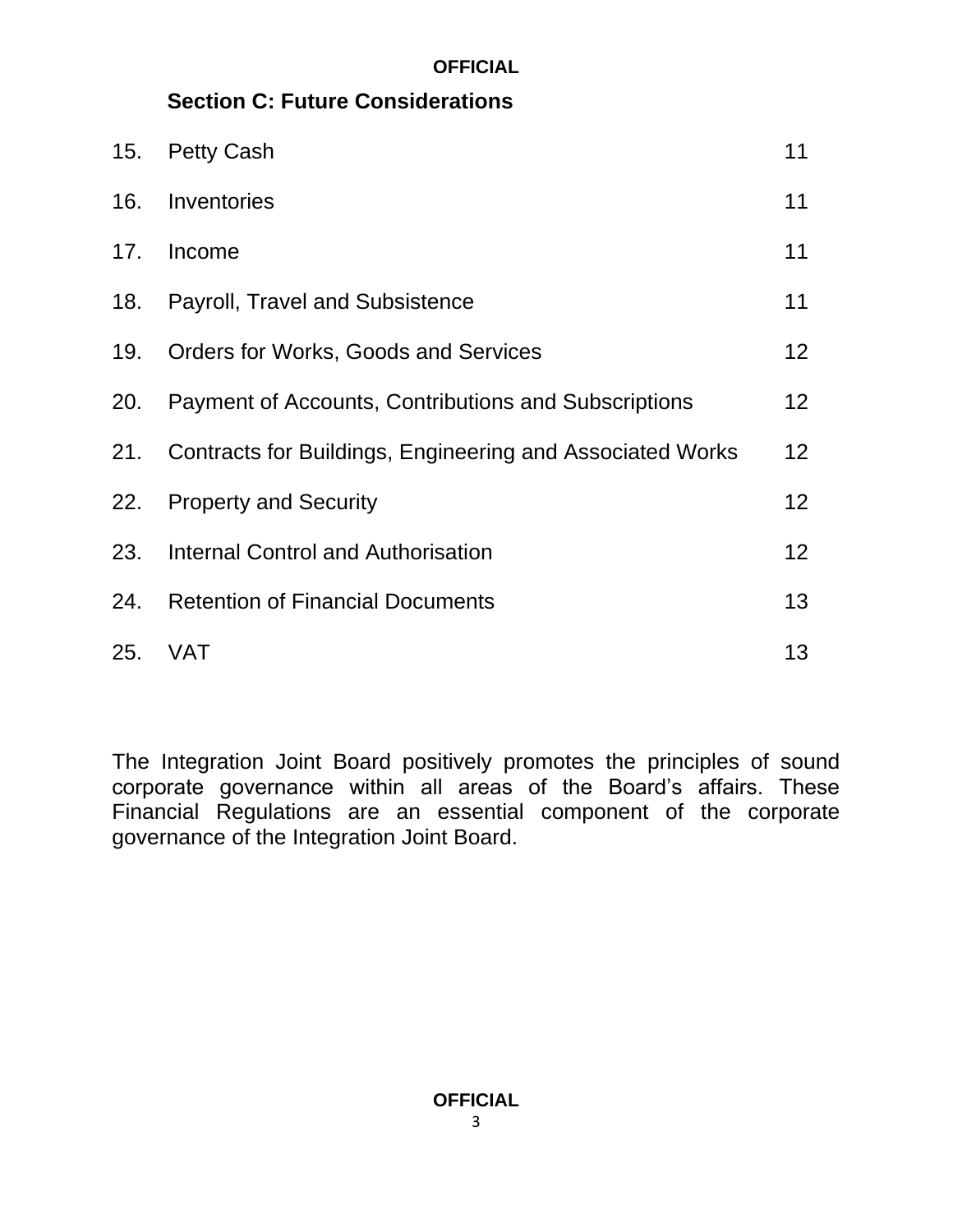# **Section C: Future Considerations**

| 15. | <b>Petty Cash</b>                                         | 11              |
|-----|-----------------------------------------------------------|-----------------|
| 16. | Inventories                                               | 11              |
| 17. | Income                                                    | 11              |
| 18. | <b>Payroll, Travel and Subsistence</b>                    | 11              |
| 19. | <b>Orders for Works, Goods and Services</b>               | 12 <sub>2</sub> |
| 20. | Payment of Accounts, Contributions and Subscriptions      | 12 <sub>2</sub> |
| 21. | Contracts for Buildings, Engineering and Associated Works | 12 <sub>2</sub> |
| 22. | <b>Property and Security</b>                              | 12 <sub>2</sub> |
| 23. | <b>Internal Control and Authorisation</b>                 | 12 <sub>2</sub> |
| 24. | <b>Retention of Financial Documents</b>                   | 13              |
| 25. | <b>VAT</b>                                                | 13              |

The Integration Joint Board positively promotes the principles of sound corporate governance within all areas of the Board's affairs. These Financial Regulations are an essential component of the corporate governance of the Integration Joint Board.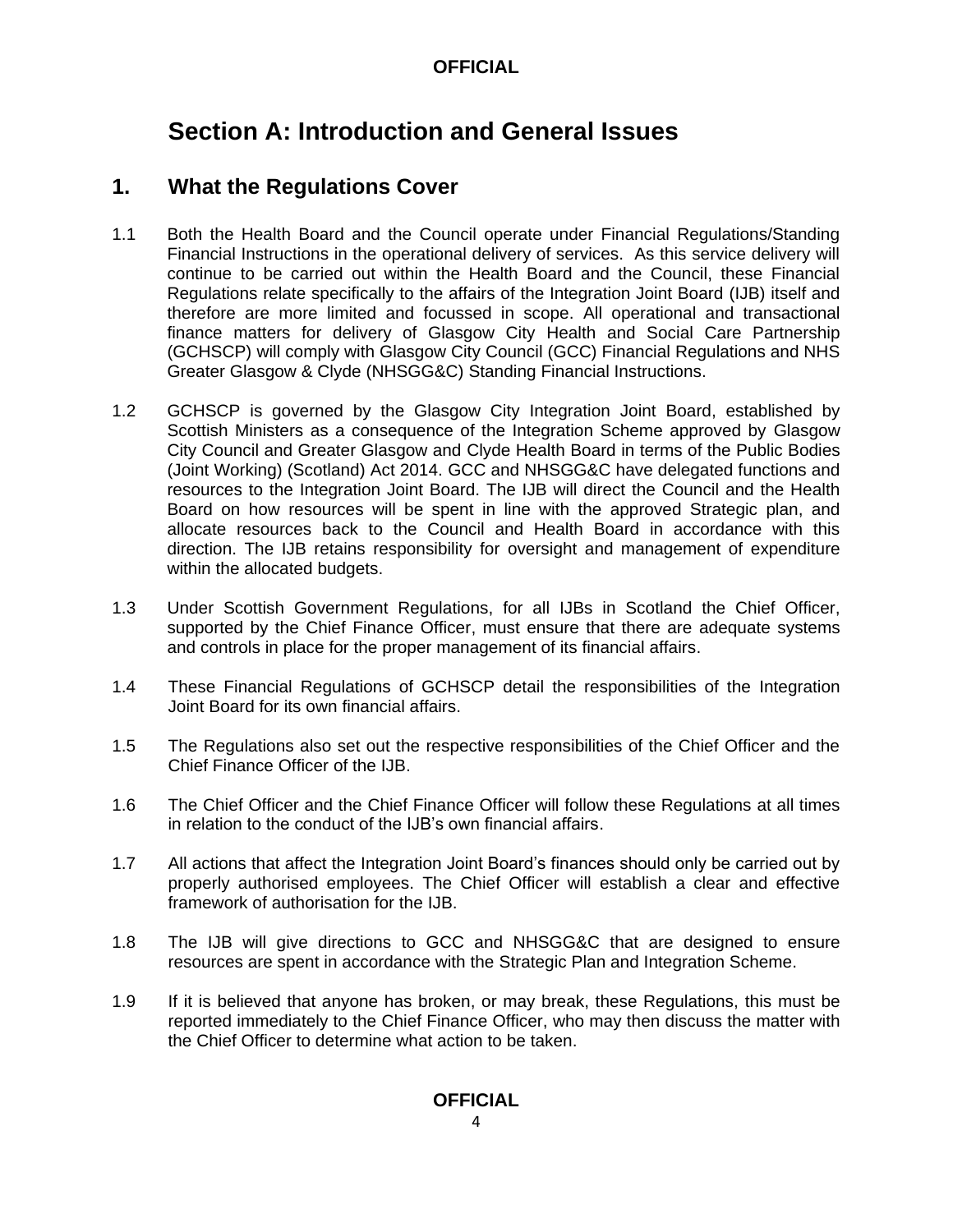# **Section A: Introduction and General Issues**

# **1. What the Regulations Cover**

- 1.1 Both the Health Board and the Council operate under Financial Regulations/Standing Financial Instructions in the operational delivery of services. As this service delivery will continue to be carried out within the Health Board and the Council, these Financial Regulations relate specifically to the affairs of the Integration Joint Board (IJB) itself and therefore are more limited and focussed in scope. All operational and transactional finance matters for delivery of Glasgow City Health and Social Care Partnership (GCHSCP) will comply with Glasgow City Council (GCC) Financial Regulations and NHS Greater Glasgow & Clyde (NHSGG&C) Standing Financial Instructions.
- 1.2 GCHSCP is governed by the Glasgow City Integration Joint Board, established by Scottish Ministers as a consequence of the Integration Scheme approved by Glasgow City Council and Greater Glasgow and Clyde Health Board in terms of the Public Bodies (Joint Working) (Scotland) Act 2014. GCC and NHSGG&C have delegated functions and resources to the Integration Joint Board. The IJB will direct the Council and the Health Board on how resources will be spent in line with the approved Strategic plan, and allocate resources back to the Council and Health Board in accordance with this direction. The IJB retains responsibility for oversight and management of expenditure within the allocated budgets.
- 1.3 Under Scottish Government Regulations, for all IJBs in Scotland the Chief Officer, supported by the Chief Finance Officer, must ensure that there are adequate systems and controls in place for the proper management of its financial affairs.
- 1.4 These Financial Regulations of GCHSCP detail the responsibilities of the Integration Joint Board for its own financial affairs.
- 1.5 The Regulations also set out the respective responsibilities of the Chief Officer and the Chief Finance Officer of the IJB.
- 1.6 The Chief Officer and the Chief Finance Officer will follow these Regulations at all times in relation to the conduct of the IJB's own financial affairs.
- 1.7 All actions that affect the Integration Joint Board's finances should only be carried out by properly authorised employees. The Chief Officer will establish a clear and effective framework of authorisation for the IJB.
- 1.8 The IJB will give directions to GCC and NHSGG&C that are designed to ensure resources are spent in accordance with the Strategic Plan and Integration Scheme.
- 1.9 If it is believed that anyone has broken, or may break, these Regulations, this must be reported immediately to the Chief Finance Officer, who may then discuss the matter with the Chief Officer to determine what action to be taken.

#### **OFFICIAL**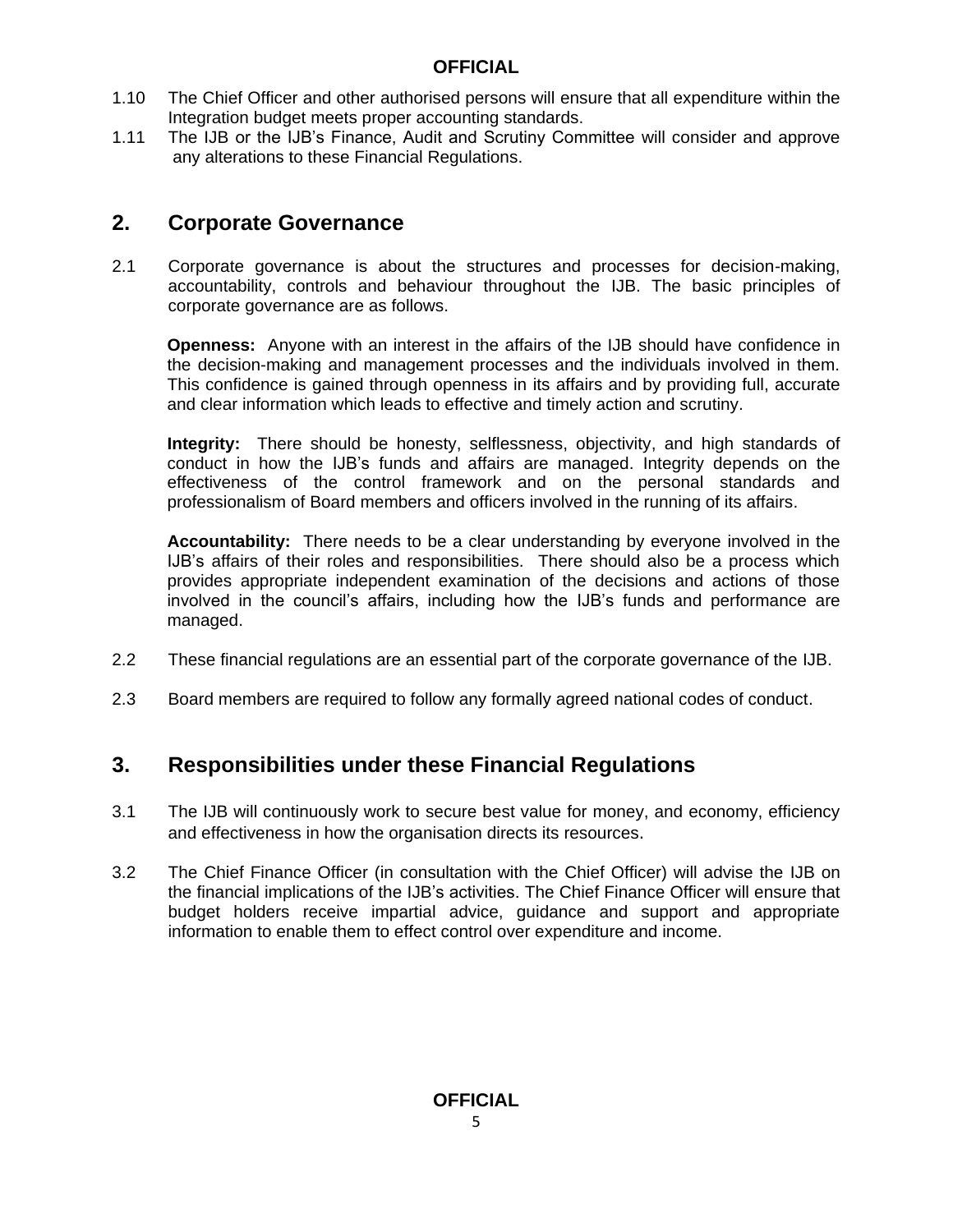- 1.10 The Chief Officer and other authorised persons will ensure that all expenditure within the Integration budget meets proper accounting standards.
- 1.11 The IJB or the IJB's Finance, Audit and Scrutiny Committee will consider and approve any alterations to these Financial Regulations.

# **2. Corporate Governance**

2.1 Corporate governance is about the structures and processes for decision-making, accountability, controls and behaviour throughout the IJB. The basic principles of corporate governance are as follows.

**Openness:** Anyone with an interest in the affairs of the IJB should have confidence in the decision-making and management processes and the individuals involved in them. This confidence is gained through openness in its affairs and by providing full, accurate and clear information which leads to effective and timely action and scrutiny.

**Integrity:** There should be honesty, selflessness, objectivity, and high standards of conduct in how the IJB's funds and affairs are managed. Integrity depends on the effectiveness of the control framework and on the personal standards and professionalism of Board members and officers involved in the running of its affairs.

**Accountability:** There needs to be a clear understanding by everyone involved in the IJB's affairs of their roles and responsibilities. There should also be a process which provides appropriate independent examination of the decisions and actions of those involved in the council's affairs, including how the IJB's funds and performance are managed.

- 2.2 These financial regulations are an essential part of the corporate governance of the IJB.
- 2.3 Board members are required to follow any formally agreed national codes of conduct.

# **3. Responsibilities under these Financial Regulations**

- 3.1 The IJB will continuously work to secure best value for money, and economy, efficiency and effectiveness in how the organisation directs its resources.
- 3.2 The Chief Finance Officer (in consultation with the Chief Officer) will advise the IJB on the financial implications of the IJB's activities. The Chief Finance Officer will ensure that budget holders receive impartial advice, guidance and support and appropriate information to enable them to effect control over expenditure and income.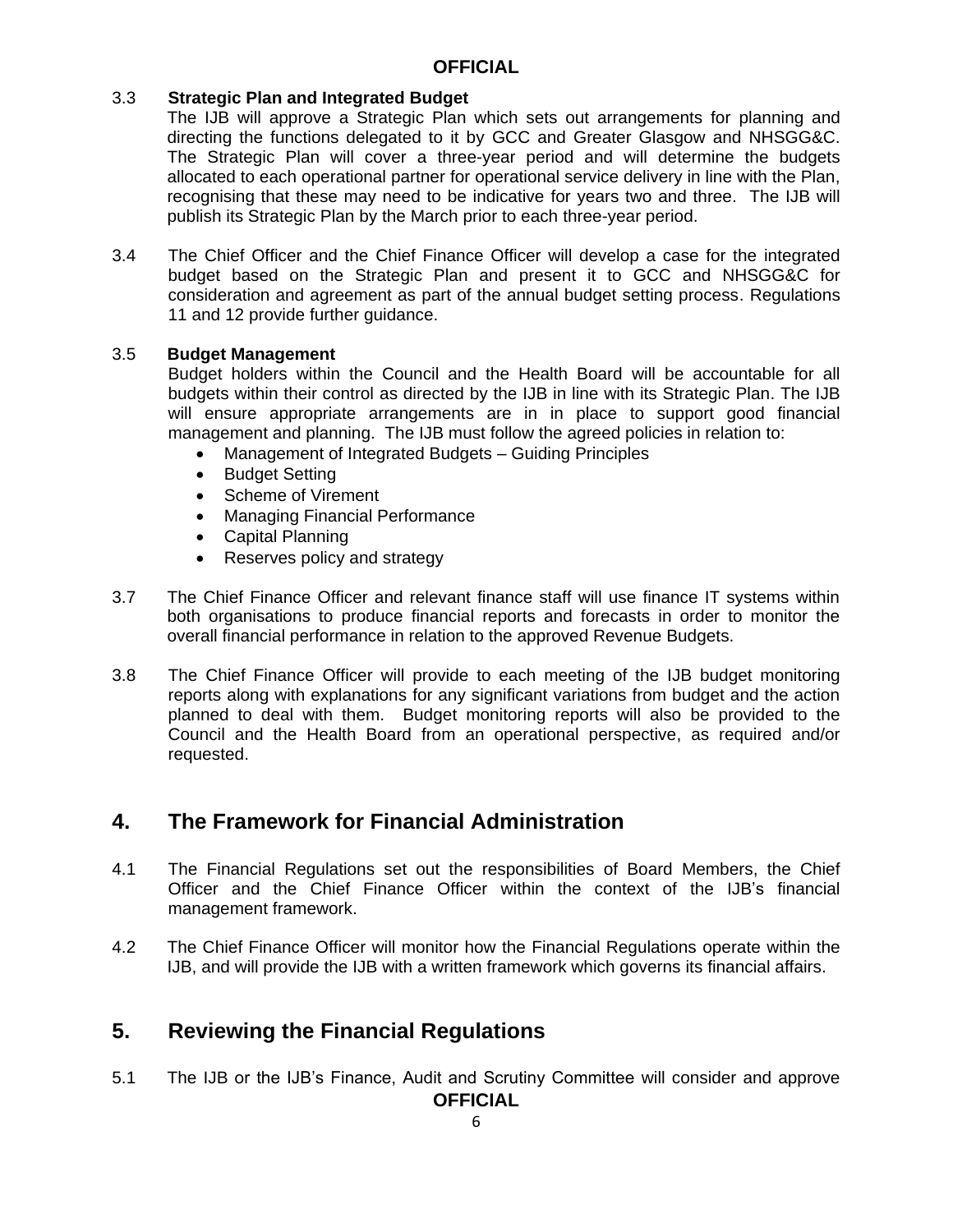#### 3.3 **Strategic Plan and Integrated Budget**

The IJB will approve a Strategic Plan which sets out arrangements for planning and directing the functions delegated to it by GCC and Greater Glasgow and NHSGG&C. The Strategic Plan will cover a three-year period and will determine the budgets allocated to each operational partner for operational service delivery in line with the Plan, recognising that these may need to be indicative for years two and three. The IJB will publish its Strategic Plan by the March prior to each three-year period.

3.4 The Chief Officer and the Chief Finance Officer will develop a case for the integrated budget based on the Strategic Plan and present it to GCC and NHSGG&C for consideration and agreement as part of the annual budget setting process. Regulations 11 and 12 provide further guidance.

#### 3.5 **Budget Management**

 Budget holders within the Council and the Health Board will be accountable for all budgets within their control as directed by the IJB in line with its Strategic Plan. The IJB will ensure appropriate arrangements are in in place to support good financial management and planning. The IJB must follow the agreed policies in relation to:

- Management of Integrated Budgets Guiding Principles
- Budget Setting
- Scheme of Virement
- Managing Financial Performance
- Capital Planning
- Reserves policy and strategy
- 3.7 The Chief Finance Officer and relevant finance staff will use finance IT systems within both organisations to produce financial reports and forecasts in order to monitor the overall financial performance in relation to the approved Revenue Budgets.
- 3.8 The Chief Finance Officer will provide to each meeting of the IJB budget monitoring reports along with explanations for any significant variations from budget and the action planned to deal with them. Budget monitoring reports will also be provided to the Council and the Health Board from an operational perspective, as required and/or requested.

#### **4. The Framework for Financial Administration**

- 4.1 The Financial Regulations set out the responsibilities of Board Members, the Chief Officer and the Chief Finance Officer within the context of the IJB's financial management framework.
- 4.2 The Chief Finance Officer will monitor how the Financial Regulations operate within the IJB, and will provide the IJB with a written framework which governs its financial affairs.

## **5. Reviewing the Financial Regulations**

**OFFICIAL** 5.1 The IJB or the IJB's Finance, Audit and Scrutiny Committee will consider and approve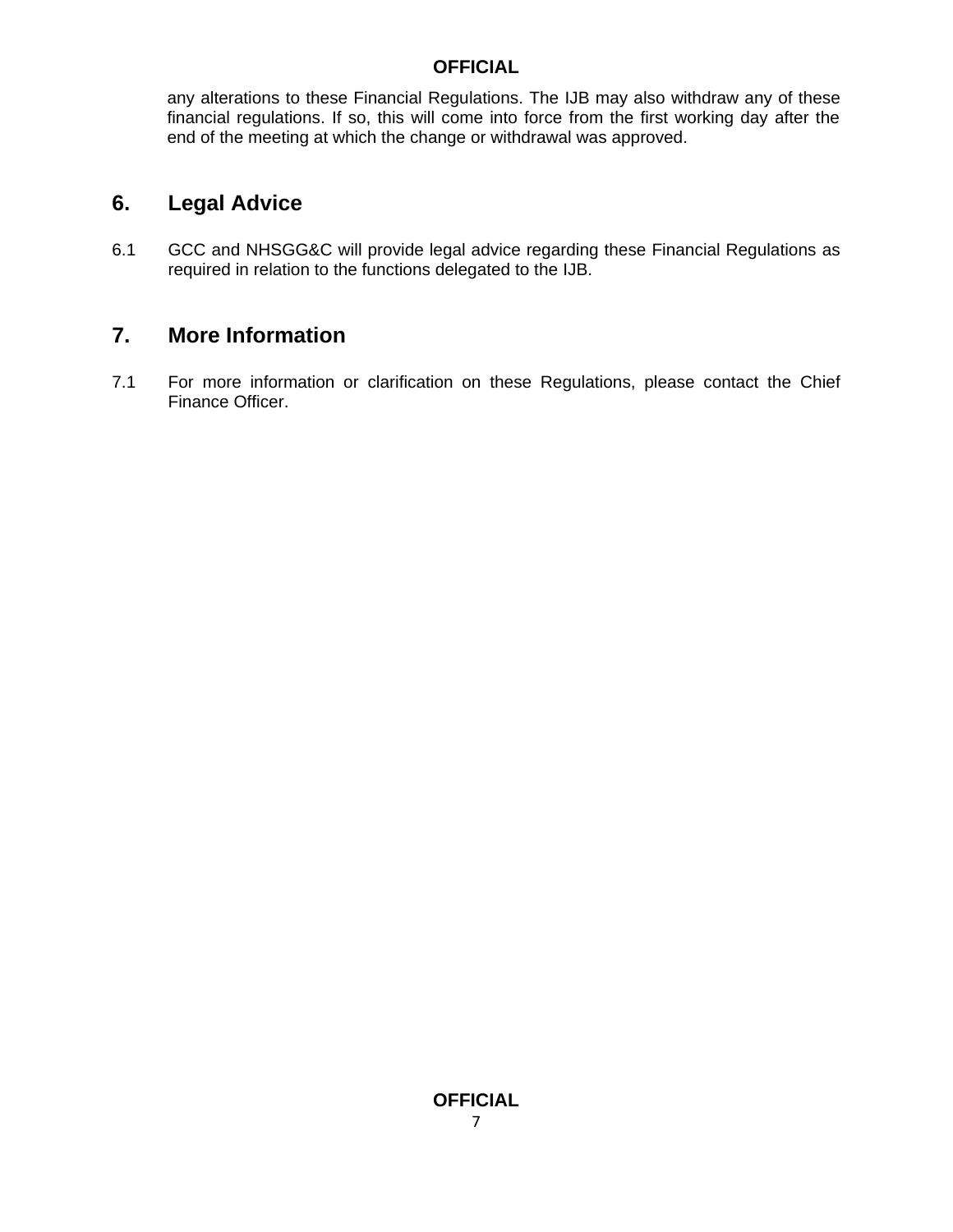any alterations to these Financial Regulations. The IJB may also withdraw any of these financial regulations. If so, this will come into force from the first working day after the end of the meeting at which the change or withdrawal was approved.

# **6. Legal Advice**

6.1 GCC and NHSGG&C will provide legal advice regarding these Financial Regulations as required in relation to the functions delegated to the IJB.

## **7. More Information**

7.1 For more information or clarification on these Regulations, please contact the Chief Finance Officer.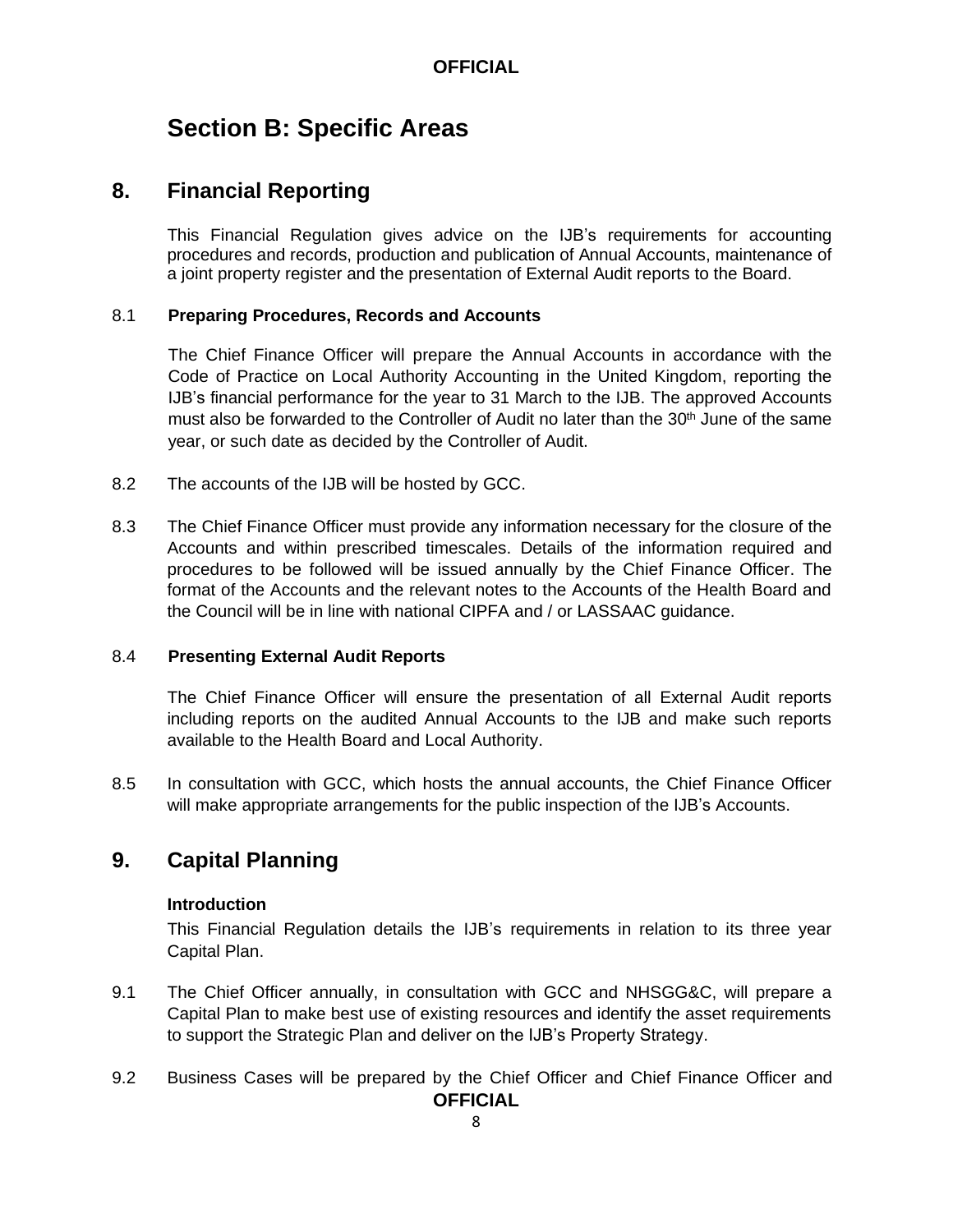# **Section B: Specific Areas**

#### **8. Financial Reporting**

This Financial Regulation gives advice on the IJB's requirements for accounting procedures and records, production and publication of Annual Accounts, maintenance of a joint property register and the presentation of External Audit reports to the Board.

#### 8.1 **Preparing Procedures, Records and Accounts**

The Chief Finance Officer will prepare the Annual Accounts in accordance with the Code of Practice on Local Authority Accounting in the United Kingdom, reporting the IJB's financial performance for the year to 31 March to the IJB. The approved Accounts must also be forwarded to the Controller of Audit no later than the 30<sup>th</sup> June of the same year, or such date as decided by the Controller of Audit.

- 8.2 The accounts of the IJB will be hosted by GCC.
- 8.3 The Chief Finance Officer must provide any information necessary for the closure of the Accounts and within prescribed timescales. Details of the information required and procedures to be followed will be issued annually by the Chief Finance Officer. The format of the Accounts and the relevant notes to the Accounts of the Health Board and the Council will be in line with national CIPFA and / or LASSAAC guidance.

#### 8.4 **Presenting External Audit Reports**

The Chief Finance Officer will ensure the presentation of all External Audit reports including reports on the audited Annual Accounts to the IJB and make such reports available to the Health Board and Local Authority.

8.5 In consultation with GCC, which hosts the annual accounts, the Chief Finance Officer will make appropriate arrangements for the public inspection of the IJB's Accounts.

## **9. Capital Planning**

#### **Introduction**

This Financial Regulation details the IJB's requirements in relation to its three year Capital Plan.

- 9.1 The Chief Officer annually, in consultation with GCC and NHSGG&C, will prepare a Capital Plan to make best use of existing resources and identify the asset requirements to support the Strategic Plan and deliver on the IJB's Property Strategy.
- **OFFICIAL** 9.2 Business Cases will be prepared by the Chief Officer and Chief Finance Officer and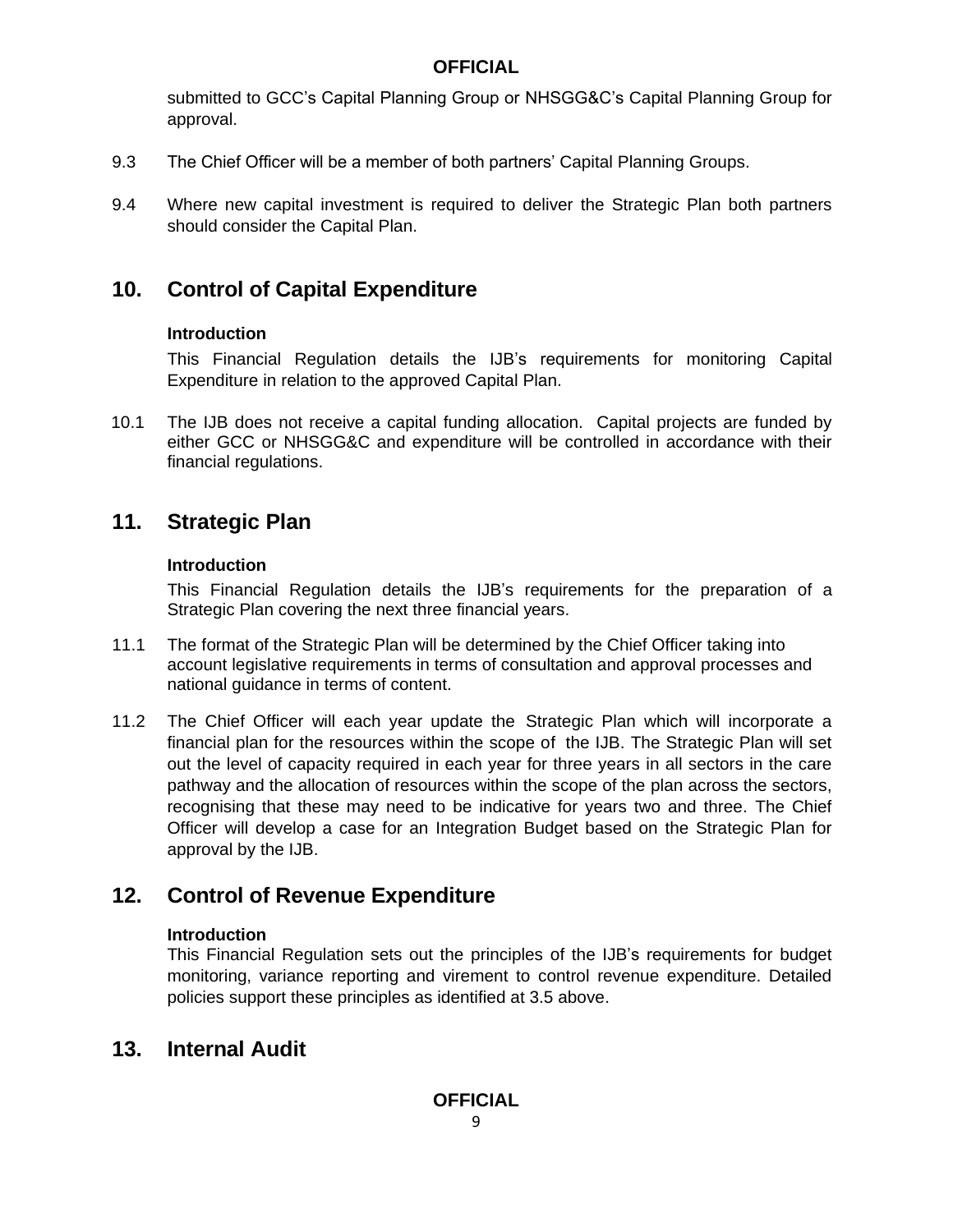submitted to GCC's Capital Planning Group or NHSGG&C's Capital Planning Group for approval.

- 9.3 The Chief Officer will be a member of both partners' Capital Planning Groups.
- 9.4 Where new capital investment is required to deliver the Strategic Plan both partners should consider the Capital Plan.

# **10. Control of Capital Expenditure**

#### **Introduction**

This Financial Regulation details the IJB's requirements for monitoring Capital Expenditure in relation to the approved Capital Plan.

10.1 The IJB does not receive a capital funding allocation. Capital projects are funded by either GCC or NHSGG&C and expenditure will be controlled in accordance with their financial regulations.

# **11. Strategic Plan**

#### **Introduction**

This Financial Regulation details the IJB's requirements for the preparation of a Strategic Plan covering the next three financial years.

- 11.1 The format of the Strategic Plan will be determined by the Chief Officer taking into account legislative requirements in terms of consultation and approval processes and national guidance in terms of content.
- 11.2 The Chief Officer will each year update the Strategic Plan which will incorporate a financial plan for the resources within the scope of the IJB. The Strategic Plan will set out the level of capacity required in each year for three years in all sectors in the care pathway and the allocation of resources within the scope of the plan across the sectors, recognising that these may need to be indicative for years two and three. The Chief Officer will develop a case for an Integration Budget based on the Strategic Plan for approval by the IJB.

# **12. Control of Revenue Expenditure**

#### **Introduction**

This Financial Regulation sets out the principles of the IJB's requirements for budget monitoring, variance reporting and virement to control revenue expenditure. Detailed policies support these principles as identified at 3.5 above.

# **13. Internal Audit**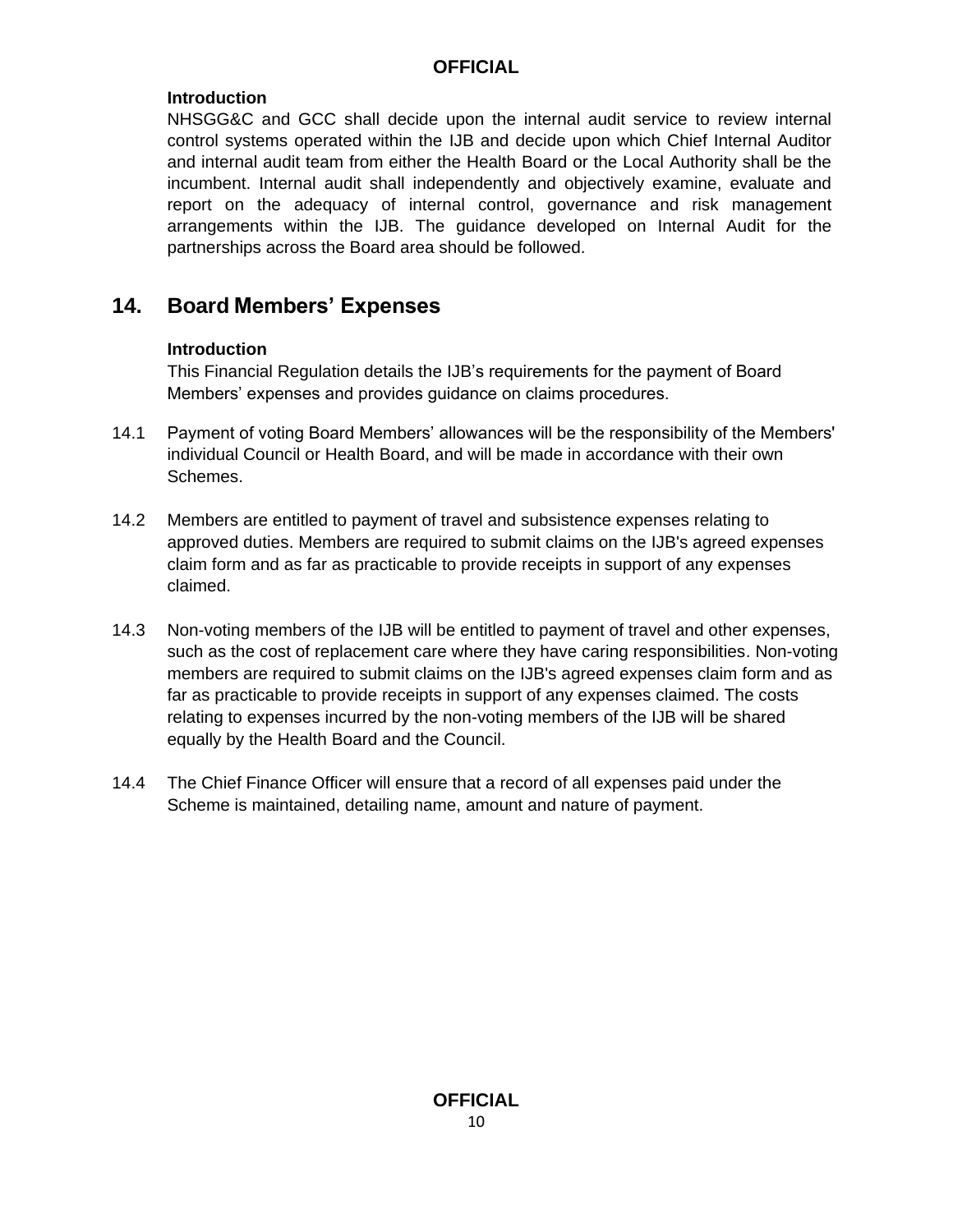#### **Introduction**

NHSGG&C and GCC shall decide upon the internal audit service to review internal control systems operated within the IJB and decide upon which Chief Internal Auditor and internal audit team from either the Health Board or the Local Authority shall be the incumbent. Internal audit shall independently and objectively examine, evaluate and report on the adequacy of internal control, governance and risk management arrangements within the IJB. The guidance developed on Internal Audit for the partnerships across the Board area should be followed.

# **14. Board Members' Expenses**

#### **Introduction**

This Financial Regulation details the IJB's requirements for the payment of Board Members' expenses and provides guidance on claims procedures.

- 14.1 Payment of voting Board Members' allowances will be the responsibility of the Members' individual Council or Health Board, and will be made in accordance with their own Schemes.
- 14.2 Members are entitled to payment of travel and subsistence expenses relating to approved duties. Members are required to submit claims on the IJB's agreed expenses claim form and as far as practicable to provide receipts in support of any expenses claimed.
- 14.3 Non-voting members of the IJB will be entitled to payment of travel and other expenses, such as the cost of replacement care where they have caring responsibilities. Non-voting members are required to submit claims on the IJB's agreed expenses claim form and as far as practicable to provide receipts in support of any expenses claimed. The costs relating to expenses incurred by the non-voting members of the IJB will be shared equally by the Health Board and the Council.
- 14.4 The Chief Finance Officer will ensure that a record of all expenses paid under the Scheme is maintained, detailing name, amount and nature of payment.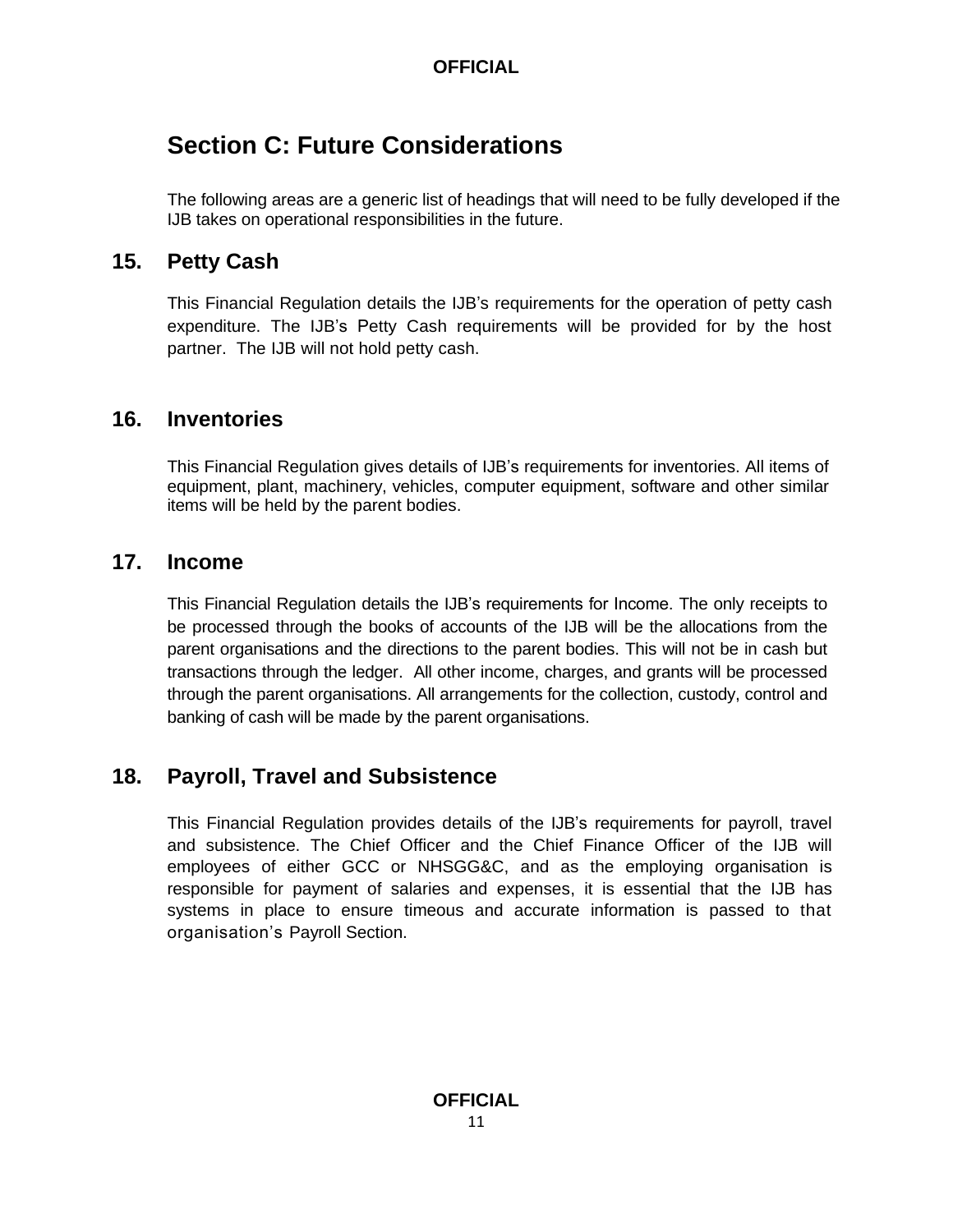# **Section C: Future Considerations**

The following areas are a generic list of headings that will need to be fully developed if the IJB takes on operational responsibilities in the future.

#### **15. Petty Cash**

This Financial Regulation details the IJB's requirements for the operation of petty cash expenditure. The IJB's Petty Cash requirements will be provided for by the host partner. The IJB will not hold petty cash.

#### **16. Inventories**

This Financial Regulation gives details of IJB's requirements for inventories. All items of equipment, plant, machinery, vehicles, computer equipment, software and other similar items will be held by the parent bodies.

#### **17. Income**

This Financial Regulation details the IJB's requirements for Income. The only receipts to be processed through the books of accounts of the IJB will be the allocations from the parent organisations and the directions to the parent bodies. This will not be in cash but transactions through the ledger. All other income, charges, and grants will be processed through the parent organisations. All arrangements for the collection, custody, control and banking of cash will be made by the parent organisations.

# **18. Payroll, Travel and Subsistence**

This Financial Regulation provides details of the IJB's requirements for payroll, travel and subsistence. The Chief Officer and the Chief Finance Officer of the IJB will employees of either GCC or NHSGG&C, and as the employing organisation is responsible for payment of salaries and expenses, it is essential that the IJB has systems in place to ensure timeous and accurate information is passed to that organisation's Payroll Section.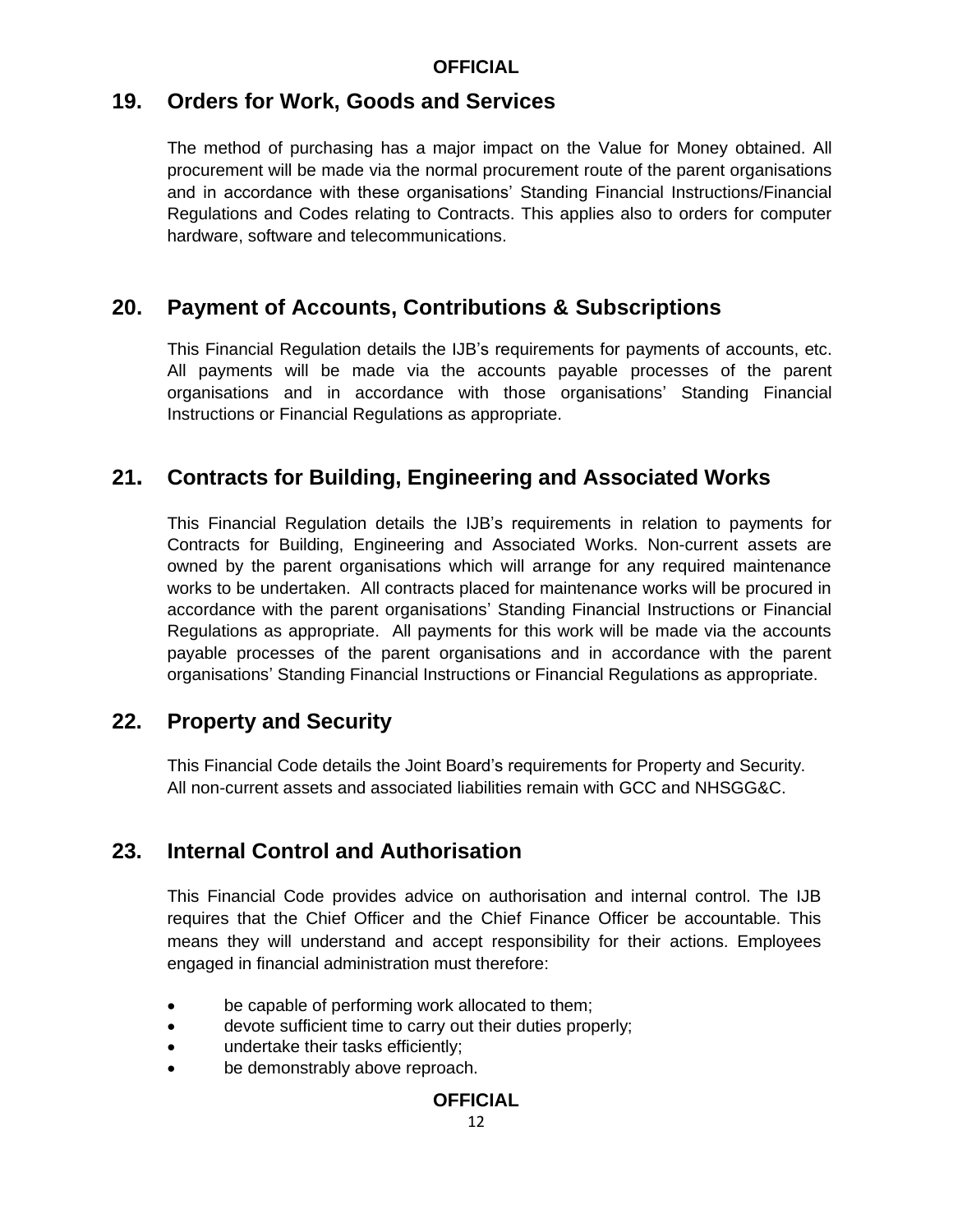#### **19. Orders for Work, Goods and Services**

The method of purchasing has a major impact on the Value for Money obtained. All procurement will be made via the normal procurement route of the parent organisations and in accordance with these organisations' Standing Financial Instructions/Financial Regulations and Codes relating to Contracts. This applies also to orders for computer hardware, software and telecommunications.

#### **20. Payment of Accounts, Contributions & Subscriptions**

This Financial Regulation details the IJB's requirements for payments of accounts, etc. All payments will be made via the accounts payable processes of the parent organisations and in accordance with those organisations' Standing Financial Instructions or Financial Regulations as appropriate.

#### **21. Contracts for Building, Engineering and Associated Works**

This Financial Regulation details the IJB's requirements in relation to payments for Contracts for Building, Engineering and Associated Works. Non-current assets are owned by the parent organisations which will arrange for any required maintenance works to be undertaken. All contracts placed for maintenance works will be procured in accordance with the parent organisations' Standing Financial Instructions or Financial Regulations as appropriate. All payments for this work will be made via the accounts payable processes of the parent organisations and in accordance with the parent organisations' Standing Financial Instructions or Financial Regulations as appropriate.

#### **22. Property and Security**

This Financial Code details the Joint Board's requirements for Property and Security. All non-current assets and associated liabilities remain with GCC and NHSGG&C.

## **23. Internal Control and Authorisation**

This Financial Code provides advice on authorisation and internal control. The IJB requires that the Chief Officer and the Chief Finance Officer be accountable. This means they will understand and accept responsibility for their actions. Employees engaged in financial administration must therefore:

- be capable of performing work allocated to them;
- devote sufficient time to carry out their duties properly;
- undertake their tasks efficiently;
- be demonstrably above reproach.

#### **OFFICIAL**